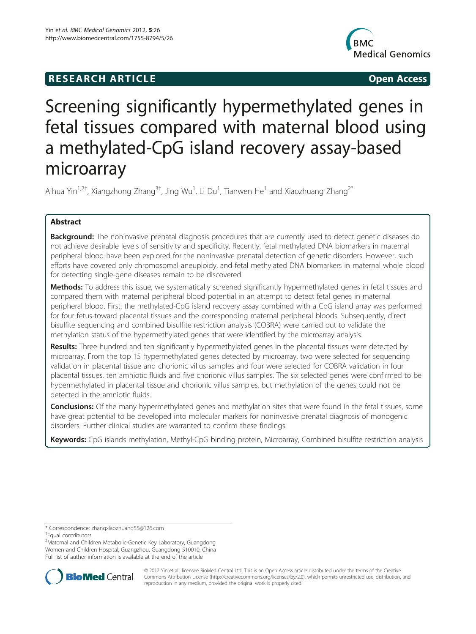# **RESEARCH ARTICLE Example 2018 12:00 Open Access**



# Screening significantly hypermethylated genes in fetal tissues compared with maternal blood using a methylated-CpG island recovery assay-based microarray

Aihua Yin<sup>1,2†</sup>, Xiangzhong Zhang<sup>3†</sup>, Jing Wu<sup>1</sup>, Li Du<sup>1</sup>, Tianwen He<sup>1</sup> and Xiaozhuang Zhang<sup>2\*</sup>

# Abstract

**Background:** The noninvasive prenatal diagnosis procedures that are currently used to detect genetic diseases do not achieve desirable levels of sensitivity and specificity. Recently, fetal methylated DNA biomarkers in maternal peripheral blood have been explored for the noninvasive prenatal detection of genetic disorders. However, such efforts have covered only chromosomal aneuploidy, and fetal methylated DNA biomarkers in maternal whole blood for detecting single-gene diseases remain to be discovered.

Methods: To address this issue, we systematically screened significantly hypermethylated genes in fetal tissues and compared them with maternal peripheral blood potential in an attempt to detect fetal genes in maternal peripheral blood. First, the methylated-CpG island recovery assay combined with a CpG island array was performed for four fetus-toward placental tissues and the corresponding maternal peripheral bloods. Subsequently, direct bisulfite sequencing and combined bisulfite restriction analysis (COBRA) were carried out to validate the methylation status of the hypermethylated genes that were identified by the microarray analysis.

Results: Three hundred and ten significantly hypermethylated genes in the placental tissues were detected by microarray. From the top 15 hypermethylated genes detected by microarray, two were selected for sequencing validation in placental tissue and chorionic villus samples and four were selected for COBRA validation in four placental tissues, ten amniotic fluids and five chorionic villus samples. The six selected genes were confirmed to be hypermethylated in placental tissue and chorionic villus samples, but methylation of the genes could not be detected in the amniotic fluids.

**Conclusions:** Of the many hypermethylated genes and methylation sites that were found in the fetal tissues, some have great potential to be developed into molecular markers for noninvasive prenatal diagnosis of monogenic disorders. Further clinical studies are warranted to confirm these findings.

Keywords: CpG islands methylation, Methyl-CpG binding protein, Microarray, Combined bisulfite restriction analysis

\* Correspondence: [zhangxiaozhuang55@126.com](mailto:zhangxiaozhuang55@126.com) †

Equal contributors

<sup>2</sup>Maternal and Children Metabolic-Genetic Key Laboratory, Guangdong Women and Children Hospital, Guangzhou, Guangdong 510010, China Full list of author information is available at the end of the article



© 2012 Yin et al.; licensee BioMed Central Ltd. This is an Open Access article distributed under the terms of the Creative Commons Attribution License [\(http://creativecommons.org/licenses/by/2.0\)](http://creativecommons.org/licenses/by/2.0), which permits unrestricted use, distribution, and reproduction in any medium, provided the original work is properly cited.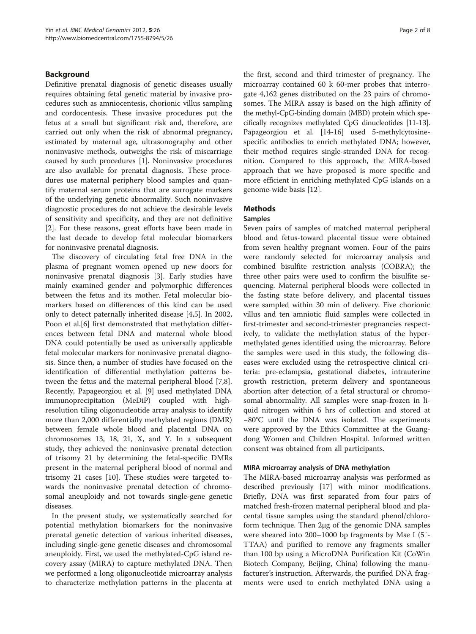# Background

Definitive prenatal diagnosis of genetic diseases usually requires obtaining fetal genetic material by invasive procedures such as amniocentesis, chorionic villus sampling and cordocentesis. These invasive procedures put the fetus at a small but significant risk and, therefore, are carried out only when the risk of abnormal pregnancy, estimated by maternal age, ultrasonography and other noninvasive methods, outweighs the risk of miscarriage caused by such procedures [[1\]](#page-7-0). Noninvasive procedures are also available for prenatal diagnosis. These procedures use maternal periphery blood samples and quantify maternal serum proteins that are surrogate markers of the underlying genetic abnormality. Such noninvasive diagnostic procedures do not achieve the desirable levels of sensitivity and specificity, and they are not definitive [[2\]](#page-7-0). For these reasons, great efforts have been made in the last decade to develop fetal molecular biomarkers for noninvasive prenatal diagnosis.

The discovery of circulating fetal free DNA in the plasma of pregnant women opened up new doors for noninvasive prenatal diagnosis [[3\]](#page-7-0). Early studies have mainly examined gender and polymorphic differences between the fetus and its mother. Fetal molecular biomarkers based on differences of this kind can be used only to detect paternally inherited disease [\[4,5](#page-7-0)]. In 2002, Poon et al.[\[6](#page-7-0)] first demonstrated that methylation differences between fetal DNA and maternal whole blood DNA could potentially be used as universally applicable fetal molecular markers for noninvasive prenatal diagnosis. Since then, a number of studies have focused on the identification of differential methylation patterns between the fetus and the maternal peripheral blood [\[7,8](#page-7-0)]. Recently, Papageorgiou et al. [[9\]](#page-7-0) used methylated DNA immunoprecipitation (MeDiP) coupled with highresolution tiling oligonucleotide array analysis to identify more than 2,000 differentially methylated regions (DMR) between female whole blood and placental DNA on chromosomes 13, 18, 21, X, and Y. In a subsequent study, they achieved the noninvasive prenatal detection of trisomy 21 by determining the fetal-specific DMRs present in the maternal peripheral blood of normal and trisomy 21 cases [\[10](#page-7-0)]. These studies were targeted towards the noninvasive prenatal detection of chromosomal aneuploidy and not towards single-gene genetic diseases.

In the present study, we systematically searched for potential methylation biomarkers for the noninvasive prenatal genetic detection of various inherited diseases, including single-gene genetic diseases and chromosomal aneuploidy. First, we used the methylated-CpG island recovery assay (MIRA) to capture methylated DNA. Then we performed a long oligonucleotide microarray analysis to characterize methylation patterns in the placenta at

the first, second and third trimester of pregnancy. The microarray contained 60 k 60-mer probes that interrogate 4,162 genes distributed on the 23 pairs of chromosomes. The MIRA assay is based on the high affinity of the methyl-CpG-binding domain (MBD) protein which specifically recognizes methylated CpG dinucleotides [\[11-13](#page-7-0)]. Papageorgiou et al. [\[14](#page-7-0)-[16](#page-7-0)] used 5-methylcytosinespecific antibodies to enrich methylated DNA; however, their method requires single-stranded DNA for recognition. Compared to this approach, the MIRA-based approach that we have proposed is more specific and more efficient in enriching methylated CpG islands on a genome-wide basis [[12\]](#page-7-0).

# Methods

#### Samples

Seven pairs of samples of matched maternal peripheral blood and fetus-toward placental tissue were obtained from seven healthy pregnant women. Four of the pairs were randomly selected for microarray analysis and combined bisulfite restriction analysis (COBRA); the three other pairs were used to confirm the bisulfite sequencing. Maternal peripheral bloods were collected in the fasting state before delivery, and placental tissues were sampled within 30 min of delivery. Five chorionic villus and ten amniotic fluid samples were collected in first-trimester and second-trimester pregnancies respectively, to validate the methylation status of the hypermethylated genes identified using the microarray. Before the samples were used in this study, the following diseases were excluded using the retrospective clinical criteria: pre-eclampsia, gestational diabetes, intrauterine growth restriction, preterm delivery and spontaneous abortion after detection of a fetal structural or chromosomal abnormality. All samples were snap-frozen in liquid nitrogen within 6 hrs of collection and stored at −80°C until the DNA was isolated. The experiments were approved by the Ethics Committee at the Guangdong Women and Children Hospital. Informed written consent was obtained from all participants.

## MIRA microarray analysis of DNA methylation

The MIRA-based microarray analysis was performed as described previously [\[17\]](#page-7-0) with minor modifications. Briefly, DNA was first separated from four pairs of matched fresh-frozen maternal peripheral blood and placental tissue samples using the standard phenol/chloroform technique. Then 2μg of the genomic DNA samples were sheared into 200–1000 bp fragments by Mse I (5′- TTAA) and purified to remove any fragments smaller than 100 bp using a MicroDNA Purification Kit (CoWin Biotech Company, Beijing, China) following the manufacturer's instruction. Afterwards, the purified DNA fragments were used to enrich methylated DNA using a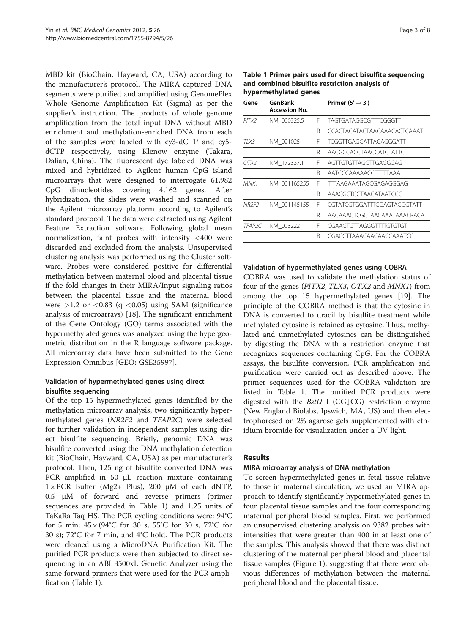MBD kit (BioChain, Hayward, CA, USA) according to the manufacturer's protocol. The MIRA-captured DNA segments were purified and amplified using GenomePlex Whole Genome Amplification Kit (Sigma) as per the supplier's instruction. The products of whole genome amplification from the total input DNA without MBD enrichment and methylation-enriched DNA from each of the samples were labeled with cy3-dCTP and cy5 dCTP respectively, using Klenow enzyme (Takara, Dalian, China). The fluorescent dye labeled DNA was mixed and hybridized to Agilent human CpG island microarrays that were designed to interrogate 61,982 CpG dinucleotides covering 4,162 genes. After hybridization, the slides were washed and scanned on the Agilent microarray platform according to Agilent's standard protocol. The data were extracted using Agilent Feature Extraction software. Following global mean normalization, faint probes with intensity <400 were discarded and excluded from the analysis. Unsupervised clustering analysis was performed using the Cluster software. Probes were considered positive for differential methylation between maternal blood and placental tissue if the fold changes in their MIRA/Input signaling ratios between the placental tissue and the maternal blood were  $>1.2$  or  $< 0.83$  (q  $< 0.05$ ) using SAM (significance analysis of microarrays) [[18](#page-7-0)]. The significant enrichment of the Gene Ontology (GO) terms associated with the hypermethylated genes was analyzed using the hypergeometric distribution in the R language software package. All microarray data have been submitted to the Gene Expression Omnibus [GEO: GSE35997].

# Validation of hypermethylated genes using direct bisulfite sequencing

Of the top 15 hypermethylated genes identified by the methylation microarray analysis, two significantly hypermethylated genes (NR2F2 and TFAP2C) were selected for further validation in independent samples using direct bisulfite sequencing. Briefly, genomic DNA was bisulfite converted using the DNA methylation detection kit (BioChain, Hayward, CA, USA) as per manufacturer's protocol. Then, 125 ng of bisulfite converted DNA was PCR amplified in 50 μL reaction mixture containing  $1 \times PCR$  Buffer (Mg2+ Plus), 200  $\mu$ M of each dNTP, 0.5 μM of forward and reverse primers (primer sequences are provided in Table 1) and 1.25 units of TaKaRa Taq HS. The PCR cycling conditions were: 94°C for 5 min;  $45 \times (94^{\circ}C)$  for 30 s,  $55^{\circ}C$  for 30 s,  $72^{\circ}C$  for 30 s); 72°C for 7 min, and 4°C hold. The PCR products were cleaned using a MicroDNA Purification Kit. The purified PCR products were then subjected to direct sequencing in an ABI 3500xL Genetic Analyzer using the same forward primers that were used for the PCR amplification (Table 1).

Table 1 Primer pairs used for direct bisulfite sequencing and combined bisulfite restriction analysis of hypermethylated genes

| Gene              | GenBank<br><b>Accession No.</b> |   | Primer $(5' \rightarrow 3')$  |  |
|-------------------|---------------------------------|---|-------------------------------|--|
| PITX <sub>2</sub> | NM 000325.5                     | F | TAGTGATAGGCGTTTCGGGTT         |  |
|                   |                                 | R | CCACTACATACTAACAAACACTCAAAT   |  |
| TI X3             | NM 021025                       | F | TCGGTTGAGGATTAGAGGGATT        |  |
|                   |                                 | R | AACGCCACCTAACCATCTATTC        |  |
| OTX2              | NM 172337.1                     | F | AGTTGTGTTAGGTTGAGGGAG         |  |
|                   |                                 | R | AATCCCAAAAACCTTTTTAAA         |  |
| MNX1              | NM_001165255                    | F | <b>TTTAAGAAATAGCGAGAGGGAG</b> |  |
|                   |                                 | R | AAACGCTCGTAACATAATCCC         |  |
| NR2F2             | NM 001145155                    | F | CGTATCGTGGATTTGGAGTAGGGTATT   |  |
|                   |                                 | R | AACAAACTCGCTAACAAATAAACRACATT |  |
| TFAP2C            | NM 003222                       | F | CGAAGTGTTAGGGTTTTGTGTGT       |  |
|                   |                                 | R | CGACCTTAAACAACAACCAAATCC      |  |

#### Validation of hypermethylated genes using COBRA

COBRA was used to validate the methylation status of four of the genes (PITX2, TLX3, OTX2 and MNX1) from among the top 15 hypermethylated genes [[19\]](#page-7-0). The principle of the COBRA method is that the cytosine in DNA is converted to uracil by bisulfite treatment while methylated cytosine is retained as cytosine. Thus, methylated and unmethylated cytosines can be distinguished by digesting the DNA with a restriction enzyme that recognizes sequences containing CpG. For the COBRA assays, the bisulfite conversion, PCR amplification and purification were carried out as described above. The primer sequences used for the COBRA validation are listed in Table 1. The purified PCR products were digested with the  $BstU$  I (CG $\downarrow$ CG) restriction enzyme (New England Biolabs, Ipswich, MA, US) and then electrophoresed on 2% agarose gels supplemented with ethidium bromide for visualization under a UV light.

#### Results

## MIRA microarray analysis of DNA methylation

To screen hypermethylated genes in fetal tissue relative to those in maternal circulation, we used an MIRA approach to identify significantly hypermethylated genes in four placental tissue samples and the four corresponding maternal peripheral blood samples. First, we performed an unsupervised clustering analysis on 9382 probes with intensities that were greater than 400 in at least one of the samples. This analysis showed that there was distinct clustering of the maternal peripheral blood and placental tissue samples (Figure [1\)](#page-3-0), suggesting that there were obvious differences of methylation between the maternal peripheral blood and the placental tissue.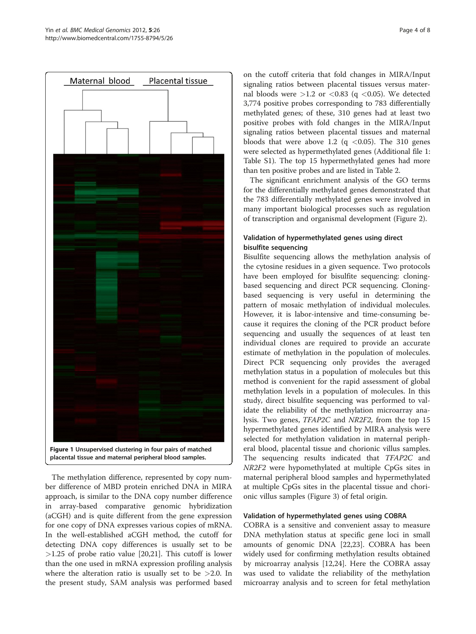<span id="page-3-0"></span>

The methylation difference, represented by copy number difference of MBD protein enriched DNA in MIRA approach, is similar to the DNA copy number difference in array-based comparative genomic hybridization (aCGH) and is quite different from the gene expression for one copy of DNA expresses various copies of mRNA. In the well-established aCGH method, the cutoff for detecting DNA copy differences is usually set to be >1.25 of probe ratio value [\[20,21](#page-7-0)]. This cutoff is lower than the one used in mRNA expression profiling analysis where the alteration ratio is usually set to be  $>2.0$ . In the present study, SAM analysis was performed based

on the cutoff criteria that fold changes in MIRA/Input signaling ratios between placental tissues versus maternal bloods were  $>1.2$  or <0.83 (q <0.05). We detected 3,774 positive probes corresponding to 783 differentially methylated genes; of these, 310 genes had at least two positive probes with fold changes in the MIRA/Input signaling ratios between placental tissues and maternal bloods that were above 1.2 (q  $<$  0.05). The 310 genes were selected as hypermethylated genes (Additional file [1](#page-6-0): Table S[1](#page-6-0)). The top 15 hypermethylated genes had more than ten positive probes and are listed in Table [2.](#page-4-0)

The significant enrichment analysis of the GO terms for the differentially methylated genes demonstrated that the 783 differentially methylated genes were involved in many important biological processes such as regulation of transcription and organismal development (Figure [2](#page-5-0)).

# Validation of hypermethylated genes using direct bisulfite sequencing

Bisulfite sequencing allows the methylation analysis of the cytosine residues in a given sequence. Two protocols have been employed for bisulfite sequencing: cloningbased sequencing and direct PCR sequencing. Cloningbased sequencing is very useful in determining the pattern of mosaic methylation of individual molecules. However, it is labor-intensive and time-consuming because it requires the cloning of the PCR product before sequencing and usually the sequences of at least ten individual clones are required to provide an accurate estimate of methylation in the population of molecules. Direct PCR sequencing only provides the averaged methylation status in a population of molecules but this method is convenient for the rapid assessment of global methylation levels in a population of molecules. In this study, direct bisulfite sequencing was performed to validate the reliability of the methylation microarray analysis. Two genes, TFAP2C and NR2F2, from the top 15 hypermethylated genes identified by MIRA analysis were selected for methylation validation in maternal peripheral blood, placental tissue and chorionic villus samples. The sequencing results indicated that TFAP2C and NR2F2 were hypomethylated at multiple CpGs sites in maternal peripheral blood samples and hypermethylated at multiple CpGs sites in the placental tissue and chorionic villus samples (Figure [3\)](#page-5-0) of fetal origin.

#### Validation of hypermethylated genes using COBRA

COBRA is a sensitive and convenient assay to measure DNA methylation status at specific gene loci in small amounts of genomic DNA [\[22,23\]](#page-7-0). COBRA has been widely used for confirming methylation results obtained by microarray analysis [\[12,24](#page-7-0)]. Here the COBRA assay was used to validate the reliability of the methylation microarray analysis and to screen for fetal methylation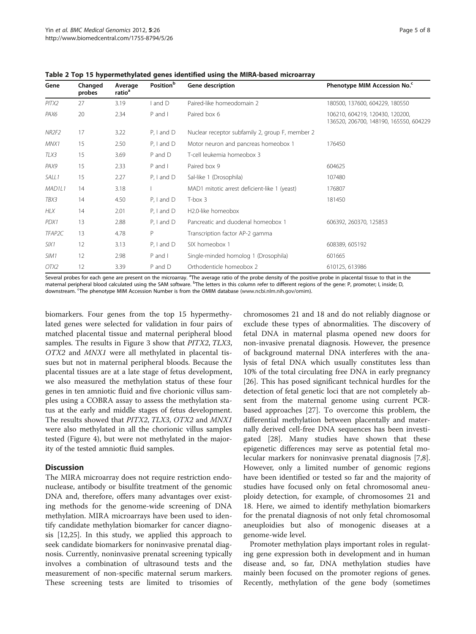| Gene               | Changed<br>probes | Average<br>ratio <sup>a</sup> | Position <sup>b</sup> | <b>Gene description</b>                         | Phenotype MIM Accession No. <sup>c</sup>                                  |
|--------------------|-------------------|-------------------------------|-----------------------|-------------------------------------------------|---------------------------------------------------------------------------|
| PITX2              | 27                | 3.19                          | I and D               | Paired-like homeodomain 2                       | 180500, 137600, 604229, 180550                                            |
| PAX6               | 20                | 2.34                          | P and I               | Paired box 6                                    | 106210, 604219, 120430, 120200,<br>136520, 206700, 148190, 165550, 604229 |
| NR2F2              | 17                | 3.22                          | $P, I$ and $D$        | Nuclear receptor subfamily 2, group F, member 2 |                                                                           |
| MNX1               | 15                | 2.50                          | $P, I$ and $D$        | Motor neuron and pancreas homeobox 1<br>176450  |                                                                           |
| TLX3               | 15                | 3.69                          | P and D               | T-cell leukemia homeobox 3                      |                                                                           |
| PAX9               | 15                | 2.33                          | P and I               | Paired box 9                                    | 604625                                                                    |
| SALL <sub>1</sub>  | 15                | 2.27                          | $P, I$ and $D$        | Sal-like 1 (Drosophila)                         | 107480                                                                    |
| MAD <sub>1L1</sub> | 14                | 3.18                          |                       | MAD1 mitotic arrest deficient-like 1 (yeast)    | 176807                                                                    |
| TBX3               | 14                | 4.50                          | $P, I$ and $D$        | T-box 3<br>181450                               |                                                                           |
| <b>HLX</b>         | 14                | 2.01                          | $P, I$ and $D$        | H2.0-like homeobox                              |                                                                           |
| PDX1               | 13                | 2.88                          | $P, I$ and $D$        | Pancreatic and duodenal homeobox 1              | 606392, 260370, 125853                                                    |
| TFAP2C             | 13                | 4.78                          | P                     | Transcription factor AP-2 gamma                 |                                                                           |
| SIX1               | 12                | 3.13                          | $P, I$ and $D$        | SIX homeobox 1                                  | 608389, 605192                                                            |
| SIM1               | 12                | 2.98                          | P and I               | Single-minded homolog 1 (Drosophila)            | 601665                                                                    |
| OTX2               | 12                | 3.39                          | P and D               | Orthodenticle homeobox 2                        | 610125, 613986                                                            |

<span id="page-4-0"></span>Table 2 Top 15 hypermethylated genes identified using the MIRA-based microarray

Several probes for each gene are present on the microarray. <sup>a</sup>The average ratio of the probe density of the positive probe in placental tissue to that in the maternal peripheral blood calculated using the SAM software. <sup>b</sup>The letters in this column refer to different regions of the gene: P, promoter; I, inside; D, downstream. <sup>c</sup>The phenotype MIM Accession Number is from the OMIM database ([www.ncbi.nlm.nih.gov/omim](http://www.ncbi.nlm.nih.gov/omim)).

biomarkers. Four genes from the top 15 hypermethylated genes were selected for validation in four pairs of matched placental tissue and maternal peripheral blood samples. The results in Figure [3](#page-5-0) show that PITX2, TLX3, OTX2 and MNX1 were all methylated in placental tissues but not in maternal peripheral bloods. Because the placental tissues are at a late stage of fetus development, we also measured the methylation status of these four genes in ten amniotic fluid and five chorionic villus samples using a COBRA assay to assess the methylation status at the early and middle stages of fetus development. The results showed that PITX2, TLX3, OTX2 and MNX1 were also methylated in all the chorionic villus samples tested (Figure [4](#page-6-0)), but were not methylated in the majority of the tested amniotic fluid samples.

#### **Discussion**

The MIRA microarray does not require restriction endonuclease, antibody or bisulfite treatment of the genomic DNA and, therefore, offers many advantages over existing methods for the genome-wide screening of DNA methylation. MIRA microarrays have been used to identify candidate methylation biomarker for cancer diagnosis [[12,25\]](#page-7-0). In this study, we applied this approach to seek candidate biomarkers for noninvasive prenatal diagnosis. Currently, noninvasive prenatal screening typically involves a combination of ultrasound tests and the measurement of non-specific maternal serum markers. These screening tests are limited to trisomies of

chromosomes 21 and 18 and do not reliably diagnose or exclude these types of abnormalities. The discovery of fetal DNA in maternal plasma opened new doors for non-invasive prenatal diagnosis. However, the presence of background maternal DNA interferes with the analysis of fetal DNA which usually constitutes less than 10% of the total circulating free DNA in early pregnancy [[26\]](#page-7-0). This has posed significant technical hurdles for the detection of fetal genetic loci that are not completely absent from the maternal genome using current PCRbased approaches [[27](#page-7-0)]. To overcome this problem, the differential methylation between placentally and maternally derived cell-free DNA sequences has been investigated [\[28](#page-7-0)]. Many studies have shown that these epigenetic differences may serve as potential fetal molecular markers for noninvasive prenatal diagnosis [\[7,8](#page-7-0)]. However, only a limited number of genomic regions have been identified or tested so far and the majority of studies have focused only on fetal chromosomal aneuploidy detection, for example, of chromosomes 21 and 18. Here, we aimed to identify methylation biomarkers for the prenatal diagnosis of not only fetal chromosomal aneuploidies but also of monogenic diseases at a genome-wide level.

Promoter methylation plays important roles in regulating gene expression both in development and in human disease and, so far, DNA methylation studies have mainly been focused on the promoter regions of genes. Recently, methylation of the gene body (sometimes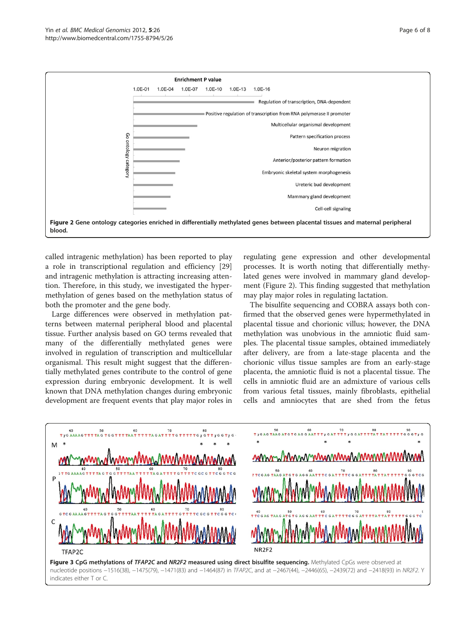<span id="page-5-0"></span>

called intragenic methylation) has been reported to play a role in transcriptional regulation and efficiency [[29](#page-7-0)] and intragenic methylation is attracting increasing attention. Therefore, in this study, we investigated the hypermethylation of genes based on the methylation status of both the promoter and the gene body.

Large differences were observed in methylation patterns between maternal peripheral blood and placental tissue. Further analysis based on GO terms revealed that many of the differentially methylated genes were involved in regulation of transcription and multicellular organismal. This result might suggest that the differentially methylated genes contribute to the control of gene expression during embryonic development. It is well known that DNA methylation changes during embryonic development are frequent events that play major roles in

regulating gene expression and other developmental processes. It is worth noting that differentially methylated genes were involved in mammary gland development (Figure 2). This finding suggested that methylation may play major roles in regulating lactation.

The bisulfite sequencing and COBRA assays both confirmed that the observed genes were hypermethylated in placental tissue and chorionic villus; however, the DNA methylation was unobvious in the amniotic fluid samples. The placental tissue samples, obtained immediately after delivery, are from a late-stage placenta and the chorionic villus tissue samples are from an early-stage placenta, the amniotic fluid is not a placental tissue. The cells in amniotic fluid are an admixture of various cells from various fetal tissues, mainly fibroblasts, epithelial cells and amniocytes that are shed from the fetus

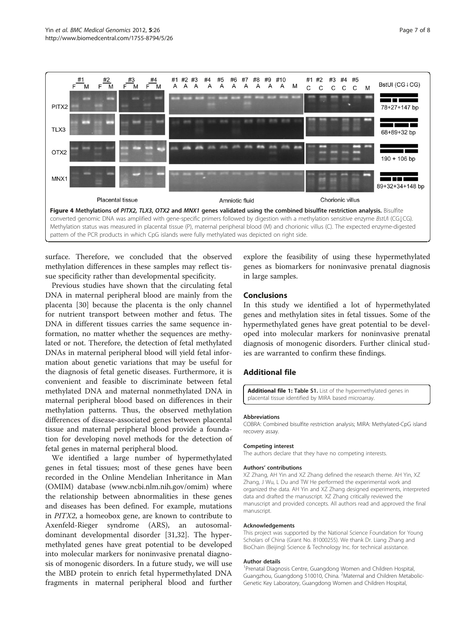<span id="page-6-0"></span>

surface. Therefore, we concluded that the observed methylation differences in these samples may reflect tissue specificity rather than developmental specificity.

Previous studies have shown that the circulating fetal DNA in maternal peripheral blood are mainly from the placenta [\[30](#page-7-0)] because the placenta is the only channel for nutrient transport between mother and fetus. The DNA in different tissues carries the same sequence information, no matter whether the sequences are methylated or not. Therefore, the detection of fetal methylated DNAs in maternal peripheral blood will yield fetal information about genetic variations that may be useful for the diagnosis of fetal genetic diseases. Furthermore, it is convenient and feasible to discriminate between fetal methylated DNA and maternal nonmethylated DNA in maternal peripheral blood based on differences in their methylation patterns. Thus, the observed methylation differences of disease-associated genes between placental tissue and maternal peripheral blood provide a foundation for developing novel methods for the detection of fetal genes in maternal peripheral blood.

We identified a large number of hypermethylated genes in fetal tissues; most of these genes have been recorded in the Online Mendelian Inheritance in Man (OMIM) database ([www.ncbi.nlm.nih.gov/omim\)](http://www.ncbi.nlm.nih.gov/omim) where the relationship between abnormalities in these genes and diseases has been defined. For example, mutations in PITX2, a homeobox gene, are known to contribute to Axenfeld-Rieger syndrome (ARS), an autosomaldominant developmental disorder [[31](#page-7-0),[32](#page-7-0)]. The hypermethylated genes have great potential to be developed into molecular markers for noninvasive prenatal diagnosis of monogenic disorders. In a future study, we will use the MBD protein to enrich fetal hypermethylated DNA fragments in maternal peripheral blood and further explore the feasibility of using these hypermethylated genes as biomarkers for noninvasive prenatal diagnosis in large samples.

#### Conclusions

In this study we identified a lot of hypermethylated genes and methylation sites in fetal tissues. Some of the hypermethylated genes have great potential to be developed into molecular markers for noninvasive prenatal diagnosis of monogenic disorders. Further clinical studies are warranted to confirm these findings.

# Additional file

[Additional file 1:](http://www.biomedcentral.com/content/supplementary/1755-8794-5-26-S1.pdf) Table S1. List of the hypermethylated genes in placental tissue identified by MIRA based microarray.

#### Abbreviations

COBRA: Combined bisulfite restriction analysis; MIRA: Methylated-CpG island recovery assay.

#### Competing interest

The authors declare that they have no competing interests.

#### Authors' contributions

XZ Zhang, AH Yin and XZ Zhang defined the research theme. AH Yin, XZ Zhang, J Wu, L Du and TW He performed the experimental work and organized the data. AH Yin and XZ Zhang designed experiments, interpreted data and drafted the manuscript. XZ Zhang critically reviewed the manuscript and provided concepts. All authors read and approved the final manuscript.

#### Acknowledgements

This project was supported by the National Science Foundation for Young Scholars of China (Grant No. 81000255). We thank Dr. Liang Zhang and BioChain (Beijing) Science & Technology Inc. for technical assistance.

#### Author details

<sup>1</sup> Prenatal Diagnosis Centre, Guangdong Women and Children Hospital, Guangzhou, Guangdong 510010, China. <sup>2</sup>Maternal and Children Metabolic-Genetic Key Laboratory, Guangdong Women and Children Hospital,